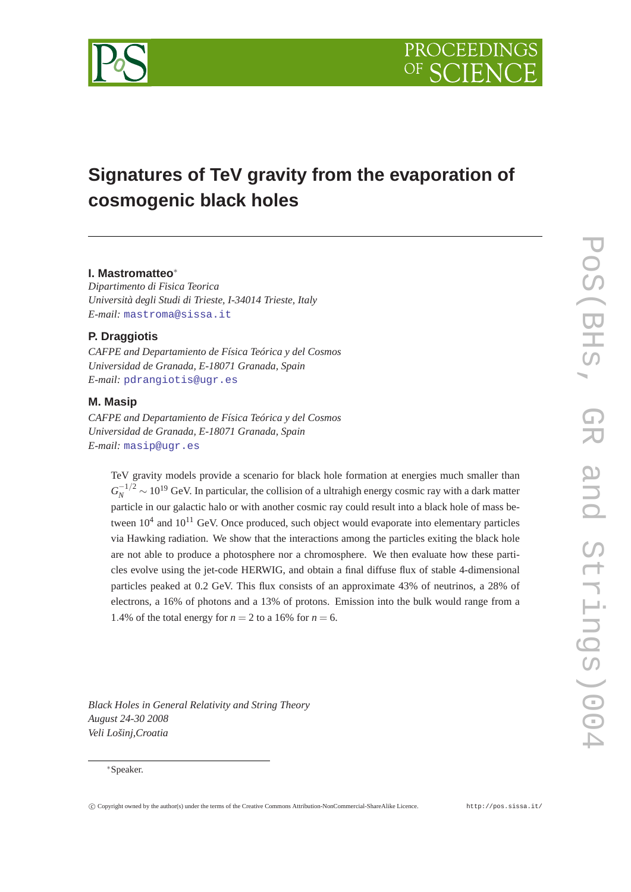

# **Signatures of TeV gravity from the evaporation of cosmogenic black holes**

# **I. Mastromatteo**<sup>∗</sup>

*Dipartimento di Fisica Teorica Università degli Studi di Trieste, I-34014 Trieste, Italy E-mail:* [mastroma@sissa.it](mailto:mastroma@sissa.it)

# **P. Draggiotis**

*CAFPE and Departamiento de Física Teórica y del Cosmos Universidad de Granada, E-18071 Granada, Spain E-mail:* [pdrangiotis@ugr.es](mailto:pdrangiotis@ugr.es)

#### **M. Masip**

*CAFPE and Departamiento de Física Teórica y del Cosmos Universidad de Granada, E-18071 Granada, Spain E-mail:* [masip@ugr.es](mailto:masip@ugr.es)

TeV gravity models provide a scenario for black hole formation at energies much smaller than  $G_N^{-1/2} \sim 10^{19}$  GeV. In particular, the collision of a ultrahigh energy cosmic ray with a dark matter particle in our galactic halo or with another cosmic ray could result into a black hole of mass between  $10^4$  and  $10^{11}$  GeV. Once produced, such object would evaporate into elementary particles via Hawking radiation. We show that the interactions among the particles exiting the black hole are not able to produce a photosphere nor a chromosphere. We then evaluate how these particles evolve using the jet-code HERWIG, and obtain a final diffuse flux of stable 4-dimensional particles peaked at 0.2 GeV. This flux consists of an approximate 43% of neutrinos, a 28% of electrons, a 16% of photons and a 13% of protons. Emission into the bulk would range from a 1.4% of the total energy for  $n = 2$  to a 16% for  $n = 6$ .

*Black Holes in General Relativity and String Theory August 24-30 2008 Veli Lošinj,Croatia*

#### <sup>∗</sup>Speaker.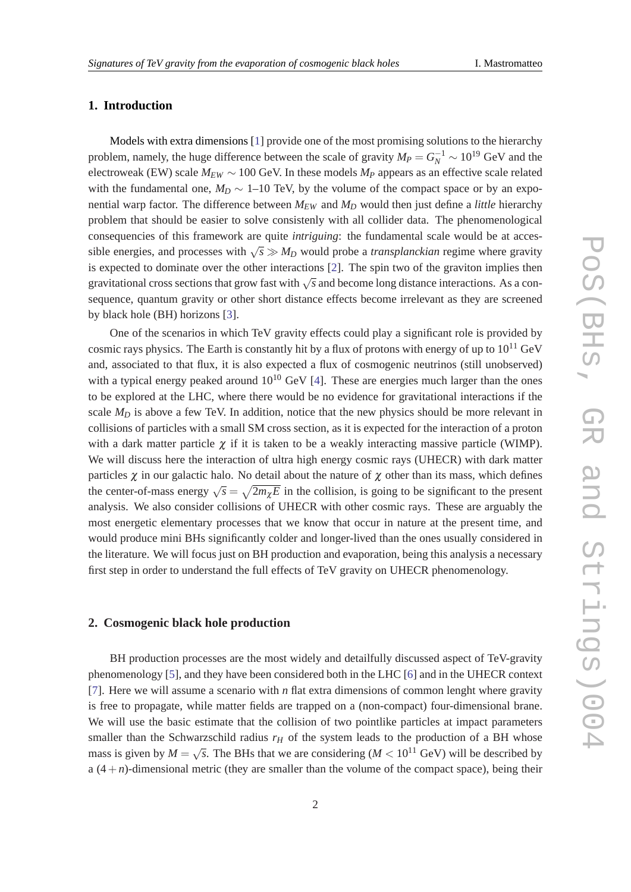# **1. Introduction**

Models with extra dimensions [\[1\]](#page-9-0) provide one of the most promising solutions to the hierarchy problem, namely, the huge difference between the scale of gravity  $M_P = G_N^{-1} \sim 10^{19}$  GeV and the electroweak (EW) scale  $M_{EW} \sim 100$  GeV. In these models  $M_P$  appears as an effective scale related with the fundamental one,  $M_D \sim 1$ –10 TeV, by the volume of the compact space or by an exponential warp factor. The difference between  $M_{EW}$  and  $M_D$  would then just define a *little* hierarchy problem that should be easier to solve consistenly with all collider data. The phenomenological consequencies of this framework are quite *intriguing*: the fundamental scale would be at accessible energies, and processes with  $\sqrt{s} \gg M_D$  would probe a *transplanckian* regime where gravity is expected to dominate over the other interactions [[2](#page-9-0)]. The spin two of the graviton implies then gravitational cross sections that grow fast with  $\sqrt{s}$  and become long distance interactions. As a consequence, quantum gravity or other short distance effects become irrelevant as they are screened by black hole (BH) horizons [[3](#page-9-0)].

One of the scenarios in which TeV gravity effects could play a significant role is provided by cosmic rays physics. The Earth is constantly hit by a flux of protons with energy of up to  $10^{11}$  GeV and, associated to that flux, it is also expected a flux of cosmogenic neutrinos (still unobserved) with a typical energy peaked around  $10^{10}$  GeV [\[4\]](#page-9-0). These are energies much larger than the ones to be explored at the LHC, where there would be no evidence for gravitational interactions if the scale  $M_D$  is above a few TeV. In addition, notice that the new physics should be more relevant in collisions of particles with a small SM cross section, as it is expected for the interaction of a proton with a dark matter particle  $\chi$  if it is taken to be a weakly interacting massive particle (WIMP). We will discuss here the interaction of ultra high energy cosmic rays (UHECR) with dark matter particles  $\chi$  in our galactic halo. No detail about the nature of  $\chi$  other than its mass, which defines the center-of-mass energy  $\sqrt{s} = \sqrt{2m_{\chi}E}$  in the collision, is going to be significant to the present analysis. We also consider collisions of UHECR with other cosmic rays. These are arguably the most energetic elementary processes that we know that occur in nature at the present time, and would produce mini BHs significantly colder and longer-lived than the ones usually considered in the literature. We will focus just on BH production and evaporation, being this analysis a necessary first step in order to understand the full effects of TeV gravity on UHECR phenomenology.

#### **2. Cosmogenic black hole production**

BH production processes are the most widely and detailfully discussed aspect of TeV-gravity phenomenology [[5](#page-9-0)], and they have been considered both in the LHC [\[6\]](#page-9-0) and in the UHECR context [[7](#page-10-0)]. Here we will assume a scenario with *n* flat extra dimensions of common lenght where gravity is free to propagate, while matter fields are trapped on a (non-compact) four-dimensional brane. We will use the basic estimate that the collision of two pointlike particles at impact parameters smaller than the Schwarzschild radius  $r_H$  of the system leads to the production of a BH whose mass is given by  $M =$  $\sqrt{s}$ . The BHs that we are considering ( $M < 10^{11}$  GeV) will be described by a  $(4+n)$ -dimensional metric (they are smaller than the volume of the compact space), being their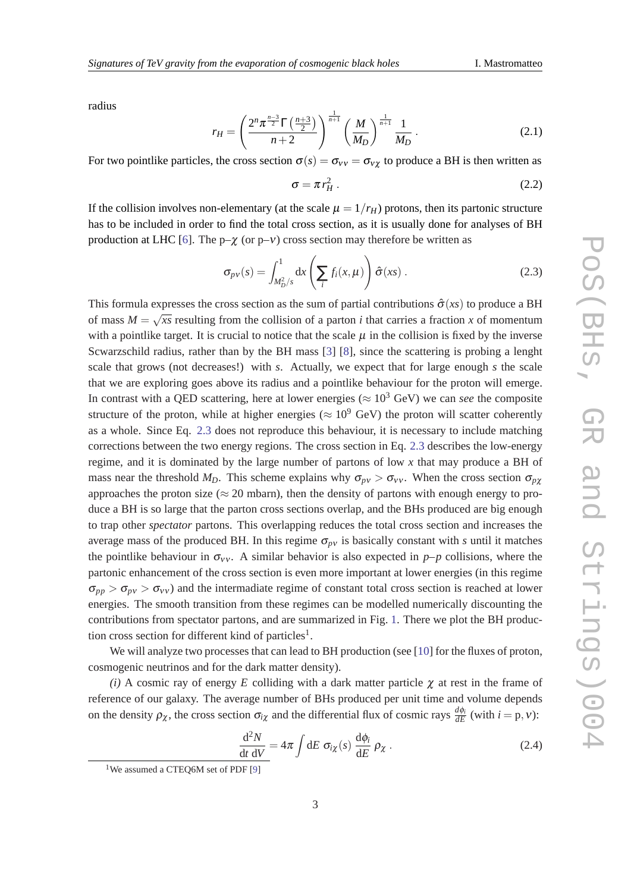radius

$$
r_H = \left(\frac{2^n \pi^{\frac{n-3}{2}} \Gamma\left(\frac{n+3}{2}\right)}{n+2}\right)^{\frac{1}{n+1}} \left(\frac{M}{M_D}\right)^{\frac{1}{n+1}} \frac{1}{M_D} \,. \tag{2.1}
$$

For two pointlike particles, the cross section  $\sigma(s) = \sigma_{vv} = \sigma_{vy}$  to produce a BH is then written as

$$
\sigma = \pi r_H^2 \,. \tag{2.2}
$$

If the collision involves non-elementary (at the scale  $\mu = 1/r_H$ ) protons, then its partonic structure has to be included in order to find the total cross section, as it is usually done for analyses of BH production at LHC [\[6\]](#page-9-0). The  $p-\chi$  (or  $p-\nu$ ) cross section may therefore be written as

$$
\sigma_{p\nu}(s) = \int_{M_D^2/s}^1 dx \left( \sum_i f_i(x, \mu) \right) \hat{\sigma}(xs) . \tag{2.3}
$$

This formula expresses the cross section as the sum of partial contributions  $\hat{\sigma}(xs)$  to produce a BH of mass  $M =$ √ *xs* resulting from the collision of a parton *i* that carries a fraction *x* of momentum with a pointlike target. It is crucial to notice that the scale  $\mu$  in the collision is fixed by the inverse Scwarzschild radius, rather than by the BH mass [[3](#page-9-0)] [\[8\]](#page-10-0), since the scattering is probing a lenght scale that grows (not decreases!) with *s*. Actually, we expect that for large enough *s* the scale that we are exploring goes above its radius and a pointlike behaviour for the proton will emerge. In contrast with a QED scattering, here at lower energies ( $\approx 10^3$  GeV) we can *see* the composite structure of the proton, while at higher energies ( $\approx 10^9$  GeV) the proton will scatter coherently as a whole. Since Eq. 2.3 does not reproduce this behaviour, it is necessary to include matching corrections between the two energy regions. The cross section in Eq. 2.3 describes the low-energy regime, and it is dominated by the large number of partons of low *x* that may produce a BH of mass near the threshold  $M_D$ . This scheme explains why  $\sigma_{pv} > \sigma_{vv}$ . When the cross section  $\sigma_{px}$ approaches the proton size ( $\approx$  20 mbarn), then the density of partons with enough energy to produce a BH is so large that the parton cross sections overlap, and the BHs produced are big enough to trap other *spectator* partons. This overlapping reduces the total cross section and increases the average mass of the produced BH. In this regime  $\sigma_{p\nu}$  is basically constant with *s* until it matches the pointlike behaviour in  $\sigma_{VV}$ . A similar behavior is also expected in *p–p* collisions, where the partonic enhancement of the cross section is even more important at lower energies (in this regime  $\sigma_{pp} > \sigma_{pv} > \sigma_{VV}$  and the intermadiate regime of constant total cross section is reached at lower energies. The smooth transition from these regimes can be modelled numerically discounting the contributions from spectator partons, and are summarized in Fig. [1](#page-3-0). There we plot the BH production cross section for different kind of particles<sup>1</sup>.

We will analyze two processes that can lead to BH production (see [\[10](#page-10-0)] for the fluxes of proton, cosmogenic neutrinos and for the dark matter density).

*(i)* A cosmic ray of energy *E* colliding with a dark matter particle  $\chi$  at rest in the frame of reference of our galaxy. The average number of BHs produced per unit time and volume depends on the density  $\rho_{\chi}$ , the cross section  $\sigma_{i\chi}$  and the differential flux of cosmic rays  $\frac{d\phi_i}{dE}$  (with  $i = p, \nu$ ):

$$
\frac{d^2N}{dt\,dV} = 4\pi \int dE \,\,\sigma_{i\chi}(s) \,\frac{d\phi_i}{dE} \,\rho_\chi \,. \tag{2.4}
$$

<sup>&</sup>lt;sup>1</sup>We assumed a CTEQ6M set of PDF [[9](#page-10-0)]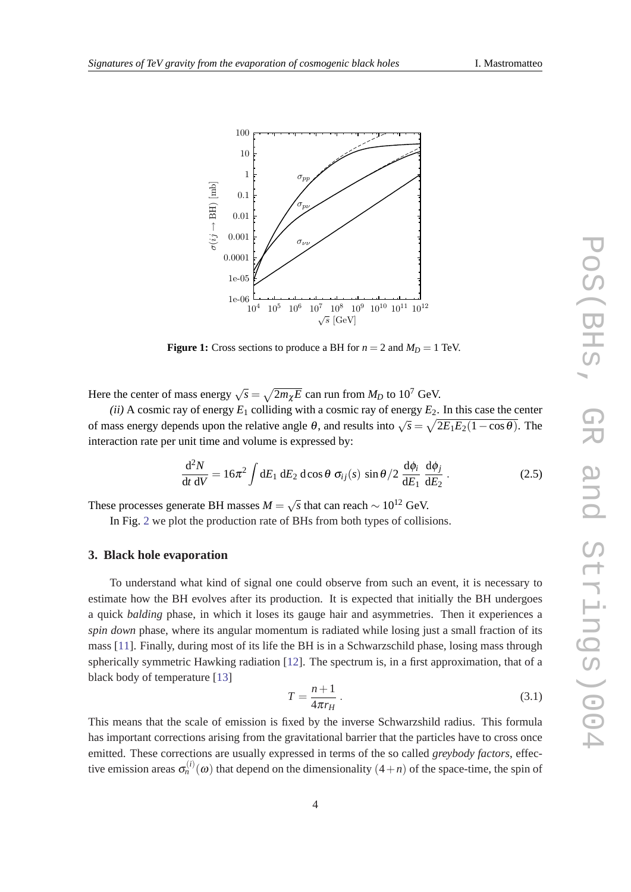<span id="page-3-0"></span>

**Figure 1:** Cross sections to produce a BH for  $n = 2$  and  $M_D = 1$  TeV.

Here the center of mass energy  $\sqrt{s} = \sqrt{2m_{\chi}E}$  can run from  $M_D$  to 10<sup>7</sup> GeV.

*(ii)* A cosmic ray of energy  $E_1$  colliding with a cosmic ray of energy  $E_2$ . In this case the center of mass energy depends upon the relative angle  $\theta$ , and results into  $\sqrt{s} = \sqrt{2E_1E_2(1-\cos\theta)}$ . The interaction rate per unit time and volume is expressed by:

$$
\frac{\mathrm{d}^2 N}{\mathrm{d}t \mathrm{d}V} = 16\pi^2 \int \mathrm{d}E_1 \mathrm{d}E_2 \mathrm{d}\cos\theta \; \sigma_{ij}(s) \; \sin\theta/2 \; \frac{\mathrm{d}\phi_i}{\mathrm{d}E_1} \; \frac{\mathrm{d}\phi_j}{\mathrm{d}E_2} \; . \tag{2.5}
$$

These processes generate BH masses  $M =$  $\sqrt{s}$  that can reach  $\sim 10^{12}$  GeV.

In Fig. [2](#page-4-0) we plot the production rate of BHs from both types of collisions.

#### **3. Black hole evaporation**

To understand what kind of signal one could observe from such an event, it is necessary to estimate how the BH evolves after its production. It is expected that initially the BH undergoes a quick *balding* phase, in which it loses its gauge hair and asymmetries. Then it experiences a *spin down* phase, where its angular momentum is radiated while losing just a small fraction of its mass [\[11](#page-10-0)]. Finally, during most of its life the BH is in a Schwarzschild phase, losing mass through spherically symmetric Hawking radiation [[12\]](#page-10-0). The spectrum is, in a first approximation, that of a black body of temperature [[13](#page-10-0)]

$$
T = \frac{n+1}{4\pi r_H} \,. \tag{3.1}
$$

This means that the scale of emission is fixed by the inverse Schwarzshild radius. This formula has important corrections arising from the gravitational barrier that the particles have to cross once emitted. These corrections are usually expressed in terms of the so called *greybody factors*, effective emission areas  $\sigma_n^{(i)}(0)$  that depend on the dimensionality  $(4+n)$  of the space-time, the spin of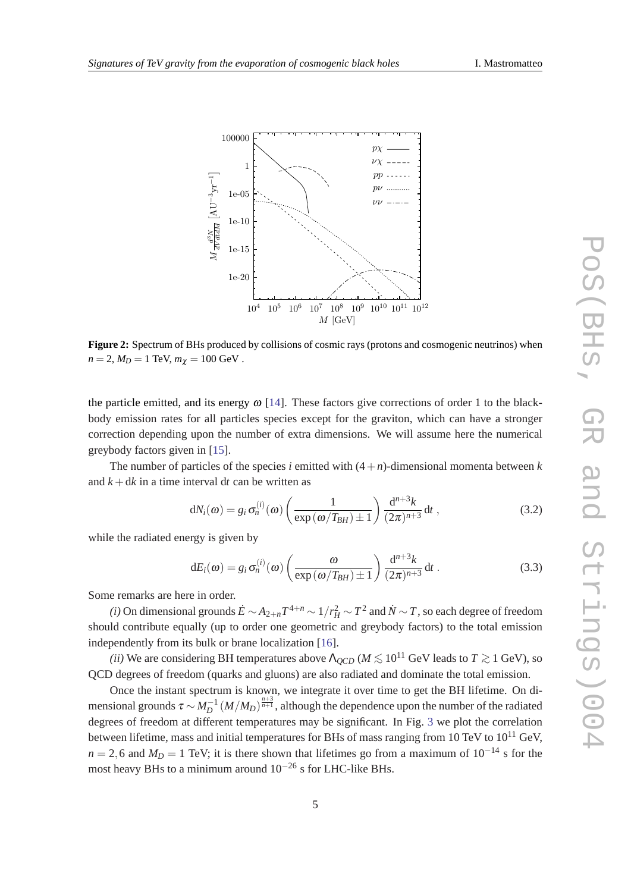<span id="page-4-0"></span>

**Figure 2:** Spectrum of BHs produced by collisions of cosmic rays (protons and cosmogenic neutrinos) when  $n = 2, M_D = 1$  TeV,  $m_{\chi} = 100$  GeV.

the particle emitted, and its energy  $\omega$  [[14\]](#page-11-0). These factors give corrections of order 1 to the blackbody emission rates for all particles species except for the graviton, which can have a stronger correction depending upon the number of extra dimensions. We will assume here the numerical greybody factors given in [[15\]](#page-11-0).

The number of particles of the species *i* emitted with  $(4+n)$ -dimensional momenta between *k* and  $k + dk$  in a time interval dt can be written as

$$
dN_i(\omega) = g_i \sigma_n^{(i)}(\omega) \left( \frac{1}{\exp(\omega/T_{BH}) \pm 1} \right) \frac{d^{n+3}k}{(2\pi)^{n+3}} dt , \qquad (3.2)
$$

while the radiated energy is given by

$$
dE_i(\omega) = g_i \sigma_n^{(i)}(\omega) \left( \frac{\omega}{\exp(\omega/T_{BH}) \pm 1} \right) \frac{d^{n+3}k}{(2\pi)^{n+3}} dt . \qquad (3.3)
$$

Some remarks are here in order.

*(i)* On dimensional grounds  $\dot{E}$  ∼  $A_{2+n}T^{4+n}$  ∼  $1/r_H^2$  ∼  $T^2$  and  $\dot{N}$  ∼  $T$ , so each degree of freedom should contribute equally (up to order one geometric and greybody factors) to the total emission independently from its bulk or brane localization [[16\]](#page-11-0).

*(ii)* We are considering BH temperatures above  $\Lambda_{QCD}$  ( $M \lesssim 10^{11}$  GeV leads to  $T \gtrsim 1$  GeV), so QCD degrees of freedom (quarks and gluons) are also radiated and dominate the total emission.

Once the instant spectrum is known, we integrate it over time to get the BH lifetime. On dimensional grounds  $\tau \sim M_D^{-1} (M/M_D)^{\frac{n+3}{n+1}}$ , although the dependence upon the number of the radiated degrees of freedom at different temperatures may be significant. In Fig. [3](#page-5-0) we plot the correlation between lifetime, mass and initial temperatures for BHs of mass ranging from 10 TeV to  $10^{11}$  GeV.  $n = 2,6$  and  $M_D = 1$  TeV; it is there shown that lifetimes go from a maximum of  $10^{-14}$  s for the most heavy BHs to a minimum around  $10^{-26}$  s for LHC-like BHs.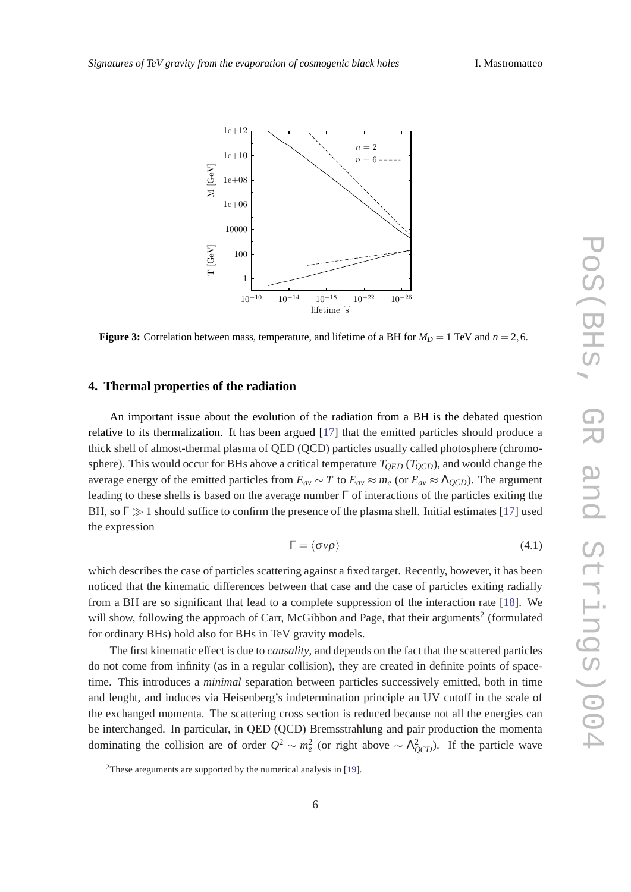<span id="page-5-0"></span>

**Figure 3:** Correlation between mass, temperature, and lifetime of a BH for  $M_D = 1$  TeV and  $n = 2, 6$ .

#### **4. Thermal properties of the radiation**

An important issue about the evolution of the radiation from a BH is the debated question relative to its thermalization. It has been argued [[17\]](#page-11-0) that the emitted particles should produce a thick shell of almost-thermal plasma of QED (QCD) particles usually called photosphere (chromosphere). This would occur for BHs above a critical temperature  $T_{OED}$  ( $T_{OCD}$ ), and would change the average energy of the emitted particles from  $E_{av} \sim T$  to  $E_{av} \approx m_e$  (or  $E_{av} \approx \Lambda_{QCD}$ ). The argument leading to these shells is based on the average number  $\Gamma$  of interactions of the particles exiting the BH, so  $\Gamma \gg 1$  should suffice to confirm the presence of the plasma shell. Initial estimates [[17\]](#page-11-0) used the expression

$$
\Gamma = \langle \sigma v \rho \rangle \tag{4.1}
$$

which describes the case of particles scattering against a fixed target. Recently, however, it has been noticed that the kinematic differences between that case and the case of particles exiting radially from a BH are so significant that lead to a complete suppression of the interaction rate [\[18](#page-11-0)]. We will show, following the approach of Carr, McGibbon and Page, that their arguments<sup>2</sup> (formulated for ordinary BHs) hold also for BHs in TeV gravity models.

The first kinematic effect is due to *causality*, and depends on the fact that the scattered particles do not come from infinity (as in a regular collision), they are created in definite points of spacetime. This introduces a *minimal* separation between particles successively emitted, both in time and lenght, and induces via Heisenberg's indetermination principle an UV cutoff in the scale of the exchanged momenta. The scattering cross section is reduced because not all the energies can be interchanged. In particular, in QED (QCD) Bremsstrahlung and pair production the momenta dominating the collision are of order  $Q^2 \sim m_e^2$  (or right above  $\sim \Lambda_{QCD}^2$ ). If the particle wave

<sup>2</sup>These areguments are supported by the numerical analysis in [\[19](#page-11-0)].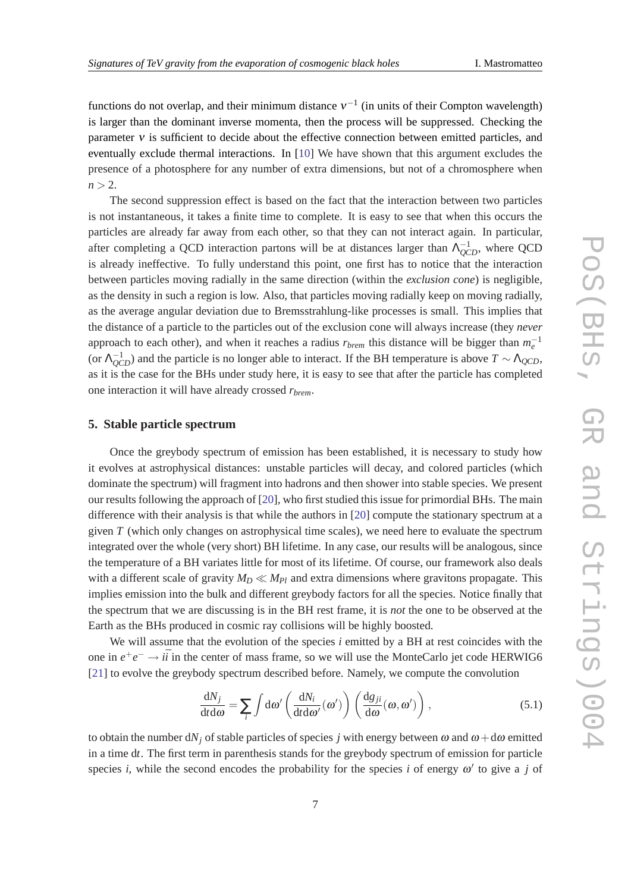functions do not overlap, and their minimum distance  $v^{-1}$  (in units of their Compton wavelength) is larger than the dominant inverse momenta, then the process will be suppressed. Checking the parameter  $v$  is sufficient to decide about the effective connection between emitted particles, and eventually exclude thermal interactions. In [[10\]](#page-10-0) We have shown that this argument excludes the presence of a photosphere for any number of extra dimensions, but not of a chromosphere when  $n > 2$ .

The second suppression effect is based on the fact that the interaction between two particles is not instantaneous, it takes a finite time to complete. It is easy to see that when this occurs the particles are already far away from each other, so that they can not interact again. In particular, after completing a QCD interaction partons will be at distances larger than  $\Lambda_{QCD}^{-1}$ , where QCD is already ineffective. To fully understand this point, one first has to notice that the interaction between particles moving radially in the same direction (within the *exclusion cone*) is negligible, as the density in such a region is low. Also, that particles moving radially keep on moving radially, as the average angular deviation due to Bremsstrahlung-like processes is small. This implies that the distance of a particle to the particles out of the exclusion cone will always increase (they *never* approach to each other), and when it reaches a radius  $r_{brem}$  this distance will be bigger than  $m_e^{-1}$ (or  $\Lambda_{QCD}^{-1}$ ) and the particle is no longer able to interact. If the BH temperature is above  $T \sim \Lambda_{QCD}$ , as it is the case for the BHs under study here, it is easy to see that after the particle has completed one interaction it will have already crossed *rbrem*.

## **5. Stable particle spectrum**

Once the greybody spectrum of emission has been established, it is necessary to study how it evolves at astrophysical distances: unstable particles will decay, and colored particles (which dominate the spectrum) will fragment into hadrons and then shower into stable species. We present our results following the approach of [\[20](#page-11-0)], who first studied this issue for primordial BHs. The main difference with their analysis is that while the authors in [\[20](#page-11-0)] compute the stationary spectrum at a given *T* (which only changes on astrophysical time scales), we need here to evaluate the spectrum integrated over the whole (very short) BH lifetime. In any case, our results will be analogous, since the temperature of a BH variates little for most of its lifetime. Of course, our framework also deals with a different scale of gravity  $M_D \ll M_{Pl}$  and extra dimensions where gravitons propagate. This implies emission into the bulk and different greybody factors for all the species. Notice finally that the spectrum that we are discussing is in the BH rest frame, it is *not* the one to be observed at the Earth as the BHs produced in cosmic ray collisions will be highly boosted.

We will assume that the evolution of the species *i* emitted by a BH at rest coincides with the one in  $e^+e^- \rightarrow i\bar{i}$  in the center of mass frame, so we will use the MonteCarlo jet code HERWIG6 [[21\]](#page-11-0) to evolve the greybody spectrum described before. Namely, we compute the convolution

$$
\frac{dN_j}{dt d\omega} = \sum_i \int d\omega' \left( \frac{dN_i}{dt d\omega'}(\omega') \right) \left( \frac{dg_{ji}}{d\omega}(\omega, \omega') \right),\tag{5.1}
$$

to obtain the number  $dN_i$  of stable particles of species *j* with energy between  $\omega$  and  $\omega + d\omega$  emitted in a time d*t*. The first term in parenthesis stands for the greybody spectrum of emission for particle species *i*, while the second encodes the probability for the species *i* of energy  $\omega'$  to give a *j* of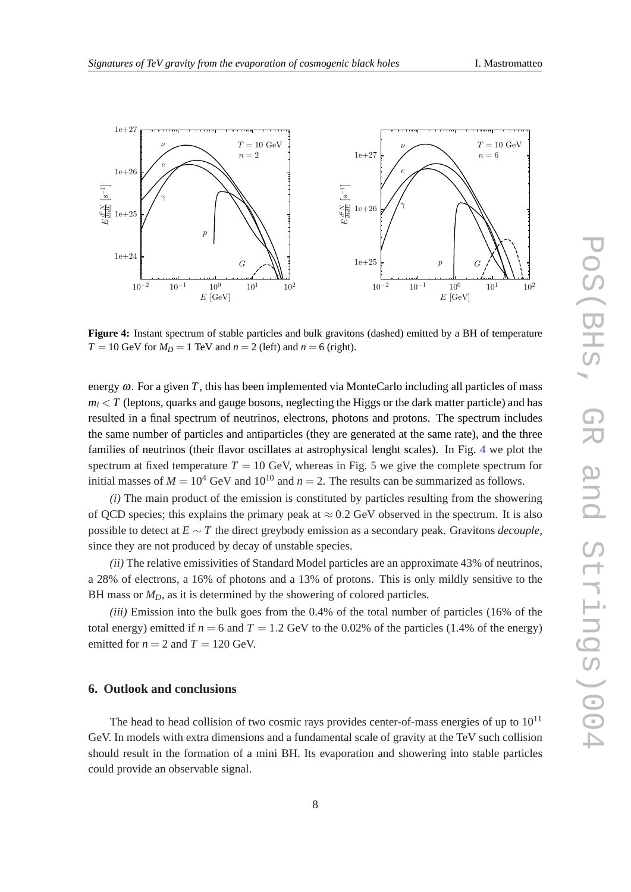

**Figure 4:** Instant spectrum of stable particles and bulk gravitons (dashed) emitted by a BH of temperature  $T = 10$  GeV for  $M_D = 1$  TeV and  $n = 2$  (left) and  $n = 6$  (right).

energy  $\omega$ . For a given *T*, this has been implemented via MonteCarlo including all particles of mass  $m_i \leq T$  (leptons, quarks and gauge bosons, neglecting the Higgs or the dark matter particle) and has resulted in a final spectrum of neutrinos, electrons, photons and protons. The spectrum includes the same number of particles and antiparticles (they are generated at the same rate), and the three families of neutrinos (their flavor oscillates at astrophysical lenght scales). In Fig. 4 we plot the spectrum at fixed temperature  $T = 10$  GeV, whereas in Fig. [5](#page-8-0) we give the complete spectrum for initial masses of  $M = 10^4$  GeV and  $10^{10}$  and  $n = 2$ . The results can be summarized as follows.

*(i)* The main product of the emission is constituted by particles resulting from the showering of QCD species; this explains the primary peak at  $\approx 0.2$  GeV observed in the spectrum. It is also possible to detect at *E* ∼ *T* the direct greybody emission as a secondary peak. Gravitons *decouple*, since they are not produced by decay of unstable species.

*(ii)* The relative emissivities of Standard Model particles are an approximate 43% of neutrinos, a 28% of electrons, a 16% of photons and a 13% of protons. This is only mildly sensitive to the BH mass or  $M_D$ , as it is determined by the showering of colored particles.

*(iii)* Emission into the bulk goes from the 0.4% of the total number of particles (16% of the total energy) emitted if  $n = 6$  and  $T = 1.2$  GeV to the 0.02% of the particles (1.4% of the energy) emitted for  $n = 2$  and  $T = 120$  GeV.

### **6. Outlook and conclusions**

The head to head collision of two cosmic rays provides center-of-mass energies of up to  $10^{11}$ GeV. In models with extra dimensions and a fundamental scale of gravity at the TeV such collision should result in the formation of a mini BH. Its evaporation and showering into stable particles could provide an observable signal.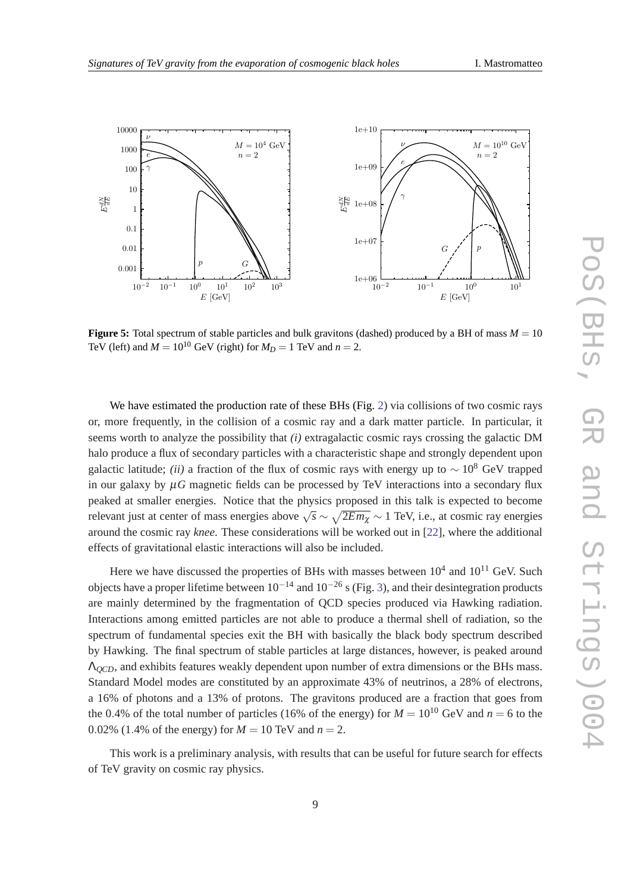<span id="page-8-0"></span>

**Figure 5:** Total spectrum of stable particles and bulk gravitons (dashed) produced by a BH of mass  $M = 10$ TeV (left) and  $M = 10^{10}$  GeV (right) for  $M_D = 1$  TeV and  $n = 2$ .

We have estimated the production rate of these BHs (Fig. [2](#page-4-0)) via collisions of two cosmic rays or, more frequently, in the collision of a cosmic ray and a dark matter particle. In particular, it seems worth to analyze the possibility that *(i)* extragalactic cosmic rays crossing the galactic DM halo produce a flux of secondary particles with a characteristic shape and strongly dependent upon galactic latitude; *(ii)* a fraction of the flux of cosmic rays with energy up to  $\sim 10^8$  GeV trapped in our galaxy by  $\mu$ *G* magnetic fields can be processed by TeV interactions into a secondary flux peaked at smaller energies. Notice that the physics proposed in this talk is expected to become relevant just at center of mass energies above  $\sqrt{s} \sim \sqrt{2E m_{\chi}} \sim 1$  TeV, i.e., at cosmic ray energies around the cosmic ray *knee*. These considerations will be worked out in [[22\]](#page-11-0), where the additional effects of gravitational elastic interactions will also be included.

Here we have discussed the properties of BHs with masses between  $10^4$  and  $10^{11}$  GeV. Such objects have a proper lifetime between  $10^{-14}$  and  $10^{-26}$  s (Fig. [3](#page-5-0)), and their desintegration products are mainly determined by the fragmentation of QCD species produced via Hawking radiation. Interactions among emitted particles are not able to produce a thermal shell of radiation, so the spectrum of fundamental species exit the BH with basically the black body spectrum described by Hawking. The final spectrum of stable particles at large distances, however, is peaked around Λ*QCD*, and exhibits features weakly dependent upon number of extra dimensions or the BHs mass. Standard Model modes are constituted by an approximate 43% of neutrinos, a 28% of electrons, a 16% of photons and a 13% of protons. The gravitons produced are a fraction that goes from the 0.4% of the total number of particles (16% of the energy) for  $M = 10^{10}$  GeV and  $n = 6$  to the 0.02% (1.4% of the energy) for  $M = 10$  TeV and  $n = 2$ .

This work is a preliminary analysis, with results that can be useful for future search for effects of TeV gravity on cosmic ray physics.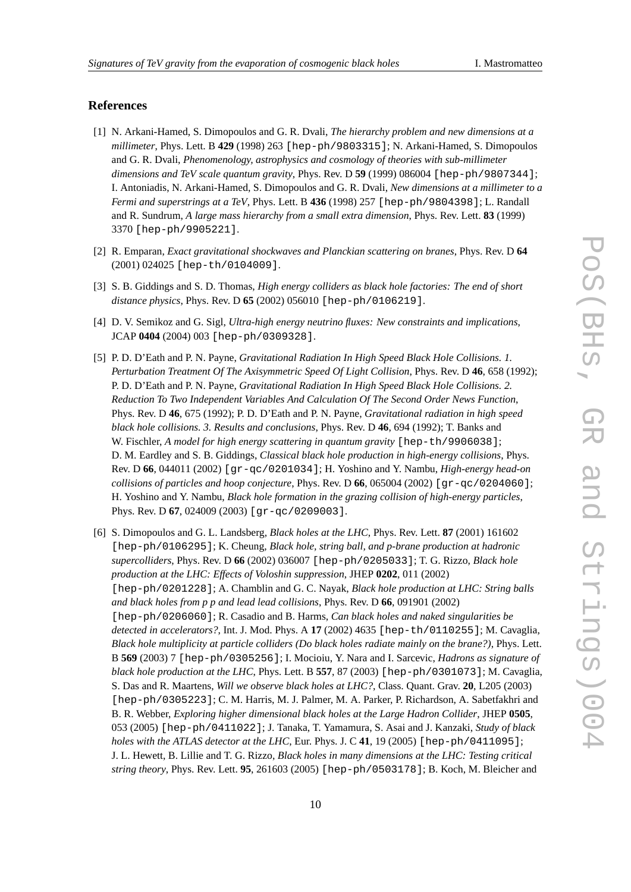#### <span id="page-9-0"></span>**References**

- [1] N. Arkani-Hamed, S. Dimopoulos and G. R. Dvali, *The hierarchy problem and new dimensions at a millimeter*, Phys. Lett. B **429** (1998) 263 [hep-ph/9803315]; N. Arkani-Hamed, S. Dimopoulos and G. R. Dvali, *Phenomenology, astrophysics and cosmology of theories with sub-millimeter dimensions and TeV scale quantum gravity*, Phys. Rev. D **59** (1999) 086004 [hep-ph/9807344]; I. Antoniadis, N. Arkani-Hamed, S. Dimopoulos and G. R. Dvali, *New dimensions at a millimeter to a Fermi and superstrings at a TeV*, Phys. Lett. B **436** (1998) 257 [hep-ph/9804398]; L. Randall and R. Sundrum, *A large mass hierarchy from a small extra dimension*, Phys. Rev. Lett. **83** (1999) 3370 [hep-ph/9905221].
- [2] R. Emparan, *Exact gravitational shockwaves and Planckian scattering on branes*, Phys. Rev. D **64** (2001) 024025 [hep-th/0104009].
- [3] S. B. Giddings and S. D. Thomas, *High energy colliders as black hole factories: The end of short distance physics*, Phys. Rev. D **65** (2002) 056010 [hep-ph/0106219].
- [4] D. V. Semikoz and G. Sigl, *Ultra-high energy neutrino fluxes: New constraints and implications*, JCAP **0404** (2004) 003 [hep-ph/0309328].
- [5] P. D. D'Eath and P. N. Payne, *Gravitational Radiation In High Speed Black Hole Collisions. 1. Perturbation Treatment Of The Axisymmetric Speed Of Light Collision*, Phys. Rev. D **46**, 658 (1992); P. D. D'Eath and P. N. Payne, *Gravitational Radiation In High Speed Black Hole Collisions. 2. Reduction To Two Independent Variables And Calculation Of The Second Order News Function*, Phys. Rev. D **46**, 675 (1992); P. D. D'Eath and P. N. Payne, *Gravitational radiation in high speed black hole collisions. 3. Results and conclusions*, Phys. Rev. D **46**, 694 (1992); T. Banks and W. Fischler, *A model for high energy scattering in quantum gravity* [hep-th/9906038]; D. M. Eardley and S. B. Giddings, *Classical black hole production in high-energy collisions*, Phys. Rev. D **66**, 044011 (2002) [gr-qc/0201034]; H. Yoshino and Y. Nambu, *High-energy head-on collisions of particles and hoop conjecture*, Phys. Rev. D 66, 065004 (2002) [ $gr-qc/0204060$ ]; H. Yoshino and Y. Nambu, *Black hole formation in the grazing collision of high-energy particles*, Phys. Rev. D **67**, 024009 (2003) [gr-qc/0209003].
- [6] S. Dimopoulos and G. L. Landsberg, *Black holes at the LHC*, Phys. Rev. Lett. **87** (2001) 161602 [hep-ph/0106295]; K. Cheung, *Black hole, string ball, and p-brane production at hadronic supercolliders*, Phys. Rev. D **66** (2002) 036007 [hep-ph/0205033]; T. G. Rizzo, *Black hole production at the LHC: Effects of Voloshin suppression*, JHEP **0202**, 011 (2002) [hep-ph/0201228]; A. Chamblin and G. C. Nayak, *Black hole production at LHC: String balls and black holes from p p and lead lead collisions*, Phys. Rev. D **66**, 091901 (2002) [hep-ph/0206060]; R. Casadio and B. Harms, *Can black holes and naked singularities be detected in accelerators?*, Int. J. Mod. Phys. A **17** (2002) 4635 [hep-th/0110255]; M. Cavaglia, *Black hole multiplicity at particle colliders (Do black holes radiate mainly on the brane?)*, Phys. Lett. B **569** (2003) 7 [hep-ph/0305256]; I. Mocioiu, Y. Nara and I. Sarcevic, *Hadrons as signature of black hole production at the LHC*, Phys. Lett. B **557**, 87 (2003) [hep-ph/0301073]; M. Cavaglia, S. Das and R. Maartens, *Will we observe black holes at LHC?*, Class. Quant. Grav. **20**, L205 (2003) [hep-ph/0305223]; C. M. Harris, M. J. Palmer, M. A. Parker, P. Richardson, A. Sabetfakhri and B. R. Webber, *Exploring higher dimensional black holes at the Large Hadron Collider*, JHEP **0505**, 053 (2005) [hep-ph/0411022]; J. Tanaka, T. Yamamura, S. Asai and J. Kanzaki, *Study of black holes with the ATLAS detector at the LHC*, Eur. Phys. J. C **41**, 19 (2005) [hep-ph/0411095]; J. L. Hewett, B. Lillie and T. G. Rizzo, *Black holes in many dimensions at the LHC: Testing critical string theory*, Phys. Rev. Lett. **95**, 261603 (2005) [hep-ph/0503178]; B. Koch, M. Bleicher and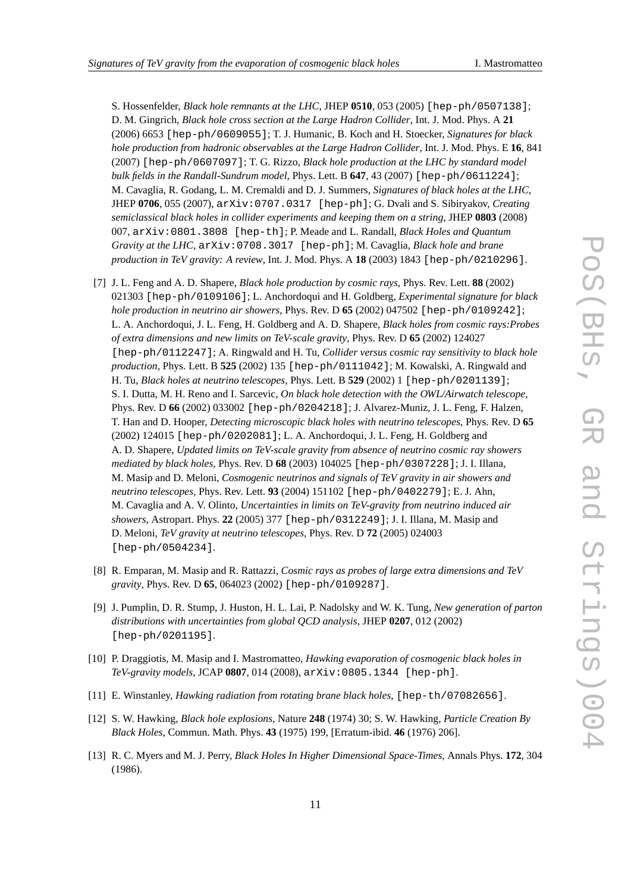<span id="page-10-0"></span>S. Hossenfelder, *Black hole remnants at the LHC*, JHEP **0510**, 053 (2005) [hep-ph/0507138]; D. M. Gingrich, *Black hole cross section at the Large Hadron Collider*, Int. J. Mod. Phys. A **21** (2006) 6653 [hep-ph/0609055]; T. J. Humanic, B. Koch and H. Stoecker, *Signatures for black hole production from hadronic observables at the Large Hadron Collider*, Int. J. Mod. Phys. E **16**, 841 (2007) [hep-ph/0607097]; T. G. Rizzo, *Black hole production at the LHC by standard model bulk fields in the Randall-Sundrum model*, Phys. Lett. B **647**, 43 (2007) [hep-ph/0611224]; M. Cavaglia, R. Godang, L. M. Cremaldi and D. J. Summers, *Signatures of black holes at the LHC*, JHEP **0706**, 055 (2007), arXiv:0707.0317 [hep-ph]; G. Dvali and S. Sibiryakov, *Creating semiclassical black holes in collider experiments and keeping them on a string*, JHEP **0803** (2008) 007, arXiv:0801.3808 [hep-th]; P. Meade and L. Randall, *Black Holes and Quantum Gravity at the LHC*, arXiv:0708.3017 [hep-ph]; M. Cavaglia, *Black hole and brane production in TeV gravity: A review*, Int. J. Mod. Phys. A **18** (2003) 1843 [hep-ph/0210296].

- [7] J. L. Feng and A. D. Shapere, *Black hole production by cosmic rays*, Phys. Rev. Lett. **88** (2002) 021303 [hep-ph/0109106]; L. Anchordoqui and H. Goldberg, *Experimental signature for black hole production in neutrino air showers*, Phys. Rev. D **65** (2002) 047502 [hep-ph/0109242]; L. A. Anchordoqui, J. L. Feng, H. Goldberg and A. D. Shapere, *Black holes from cosmic rays:Probes of extra dimensions and new limits on TeV-scale gravity*, Phys. Rev. D **65** (2002) 124027 [hep-ph/0112247]; A. Ringwald and H. Tu, *Collider versus cosmic ray sensitivity to black hole production*, Phys. Lett. B **525** (2002) 135 [hep-ph/0111042]; M. Kowalski, A. Ringwald and H. Tu, *Black holes at neutrino telescopes*, Phys. Lett. B **529** (2002) 1 [hep-ph/0201139]; S. I. Dutta, M. H. Reno and I. Sarcevic, *On black hole detection with the OWL/Airwatch telescope*, Phys. Rev. D **66** (2002) 033002 [hep-ph/0204218]; J. Alvarez-Muniz, J. L. Feng, F. Halzen, T. Han and D. Hooper, *Detecting microscopic black holes with neutrino telescopes*, Phys. Rev. D **65** (2002) 124015 [hep-ph/0202081]; L. A. Anchordoqui, J. L. Feng, H. Goldberg and A. D. Shapere, *Updated limits on TeV-scale gravity from absence of neutrino cosmic ray showers mediated by black holes*, Phys. Rev. D **68** (2003) 104025 [hep-ph/0307228]; J. I. Illana, M. Masip and D. Meloni, *Cosmogenic neutrinos and signals of TeV gravity in air showers and neutrino telescopes*, Phys. Rev. Lett. **93** (2004) 151102 [hep-ph/0402279]; E. J. Ahn, M. Cavaglia and A. V. Olinto, *Uncertainties in limits on TeV-gravity from neutrino induced air showers*, Astropart. Phys. **22** (2005) 377 [hep-ph/0312249]; J. I. Illana, M. Masip and D. Meloni, *TeV gravity at neutrino telescopes*, Phys. Rev. D **72** (2005) 024003 [hep-ph/0504234].
- [8] R. Emparan, M. Masip and R. Rattazzi, *Cosmic rays as probes of large extra dimensions and TeV gravity*, Phys. Rev. D **65**, 064023 (2002) [hep-ph/0109287].
- [9] J. Pumplin, D. R. Stump, J. Huston, H. L. Lai, P. Nadolsky and W. K. Tung, *New generation of parton distributions with uncertainties from global QCD analysis*, JHEP **0207**, 012 (2002) [hep-ph/0201195].
- [10] P. Draggiotis, M. Masip and I. Mastromatteo, *Hawking evaporation of cosmogenic black holes in TeV-gravity models*, JCAP **0807**, 014 (2008), arXiv:0805.1344 [hep-ph].
- [11] E. Winstanley, *Hawking radiation from rotating brane black holes*, [hep-th/07082656].
- [12] S. W. Hawking, *Black hole explosions*, Nature **248** (1974) 30; S. W. Hawking, *Particle Creation By Black Holes*, Commun. Math. Phys. **43** (1975) 199, [Erratum-ibid. **46** (1976) 206].
- [13] R. C. Myers and M. J. Perry, *Black Holes In Higher Dimensional Space-Times*, Annals Phys. **172**, 304 (1986).